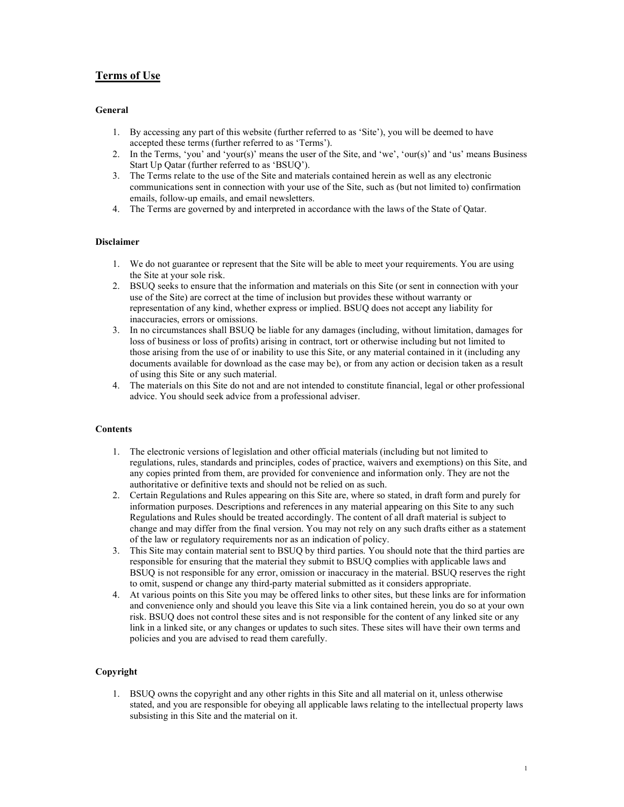# Terms of Use

# General

- 1. By accessing any part of this website (further referred to as 'Site'), you will be deemed to have accepted these terms (further referred to as 'Terms').
- 2. In the Terms, 'you' and 'your(s)' means the user of the Site, and 'we', 'our(s)' and 'us' means Business Start Up Qatar (further referred to as 'BSUQ').
- 3. The Terms relate to the use of the Site and materials contained herein as well as any electronic communications sent in connection with your use of the Site, such as (but not limited to) confirmation emails, follow-up emails, and email newsletters.
- 4. The Terms are governed by and interpreted in accordance with the laws of the State of Qatar.

## Disclaimer

- 1. We do not guarantee or represent that the Site will be able to meet your requirements. You are using the Site at your sole risk.
- 2. BSUQ seeks to ensure that the information and materials on this Site (or sent in connection with your use of the Site) are correct at the time of inclusion but provides these without warranty or representation of any kind, whether express or implied. BSUQ does not accept any liability for inaccuracies, errors or omissions.
- 3. In no circumstances shall BSUQ be liable for any damages (including, without limitation, damages for loss of business or loss of profits) arising in contract, tort or otherwise including but not limited to those arising from the use of or inability to use this Site, or any material contained in it (including any documents available for download as the case may be), or from any action or decision taken as a result of using this Site or any such material.
- 4. The materials on this Site do not and are not intended to constitute financial, legal or other professional advice. You should seek advice from a professional adviser.

## **Contents**

- 1. The electronic versions of legislation and other official materials (including but not limited to regulations, rules, standards and principles, codes of practice, waivers and exemptions) on this Site, and any copies printed from them, are provided for convenience and information only. They are not the authoritative or definitive texts and should not be relied on as such.
- 2. Certain Regulations and Rules appearing on this Site are, where so stated, in draft form and purely for information purposes. Descriptions and references in any material appearing on this Site to any such Regulations and Rules should be treated accordingly. The content of all draft material is subject to change and may differ from the final version. You may not rely on any such drafts either as a statement of the law or regulatory requirements nor as an indication of policy.
- 3. This Site may contain material sent to BSUQ by third parties. You should note that the third parties are responsible for ensuring that the material they submit to BSUQ complies with applicable laws and BSUQ is not responsible for any error, omission or inaccuracy in the material. BSUQ reserves the right to omit, suspend or change any third-party material submitted as it considers appropriate.
- 4. At various points on this Site you may be offered links to other sites, but these links are for information and convenience only and should you leave this Site via a link contained herein, you do so at your own risk. BSUQ does not control these sites and is not responsible for the content of any linked site or any link in a linked site, or any changes or updates to such sites. These sites will have their own terms and policies and you are advised to read them carefully.

# Copyright

1. BSUQ owns the copyright and any other rights in this Site and all material on it, unless otherwise stated, and you are responsible for obeying all applicable laws relating to the intellectual property laws subsisting in this Site and the material on it.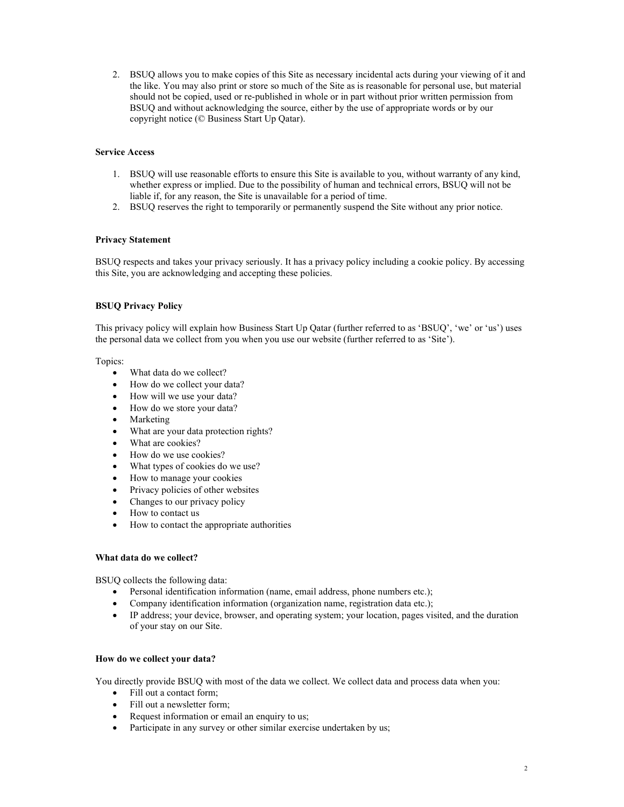2. BSUQ allows you to make copies of this Site as necessary incidental acts during your viewing of it and the like. You may also print or store so much of the Site as is reasonable for personal use, but material should not be copied, used or re-published in whole or in part without prior written permission from BSUQ and without acknowledging the source, either by the use of appropriate words or by our copyright notice (© Business Start Up Qatar).

# Service Access

- 1. BSUQ will use reasonable efforts to ensure this Site is available to you, without warranty of any kind, whether express or implied. Due to the possibility of human and technical errors, BSUQ will not be liable if, for any reason, the Site is unavailable for a period of time.
- 2. BSUQ reserves the right to temporarily or permanently suspend the Site without any prior notice.

# Privacy Statement

BSUQ respects and takes your privacy seriously. It has a privacy policy including a cookie policy. By accessing this Site, you are acknowledging and accepting these policies.

# BSUQ Privacy Policy

This privacy policy will explain how Business Start Up Qatar (further referred to as 'BSUQ', 'we' or 'us') uses the personal data we collect from you when you use our website (further referred to as 'Site').

Topics:

- What data do we collect?
- How do we collect your data?
- How will we use your data?
- How do we store your data?
- Marketing
- What are your data protection rights?
- What are cookies?
- How do we use cookies?
- What types of cookies do we use?
- How to manage your cookies
- Privacy policies of other websites
- Changes to our privacy policy
- How to contact us
- How to contact the appropriate authorities

## What data do we collect?

BSUQ collects the following data:

- Personal identification information (name, email address, phone numbers etc.);
- Company identification information (organization name, registration data etc.);
- IP address; your device, browser, and operating system; your location, pages visited, and the duration of your stay on our Site.

## How do we collect your data?

You directly provide BSUQ with most of the data we collect. We collect data and process data when you:

- Fill out a contact form;
- Fill out a newsletter form;
- Request information or email an enquiry to us;
- Participate in any survey or other similar exercise undertaken by us;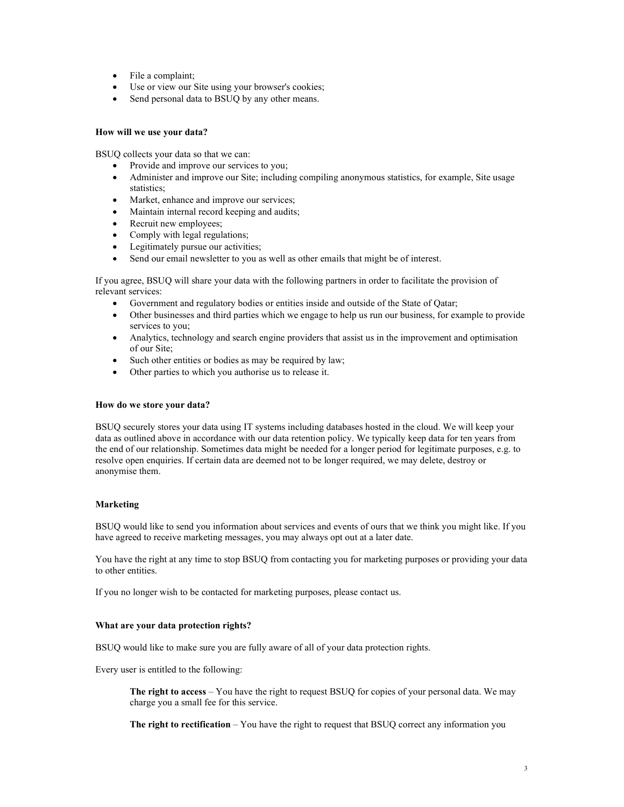- File a complaint;
- Use or view our Site using your browser's cookies;
- Send personal data to BSUQ by any other means.

## How will we use your data?

BSUQ collects your data so that we can:

- Provide and improve our services to you;
- Administer and improve our Site; including compiling anonymous statistics, for example, Site usage statistics;
- Market, enhance and improve our services;
- Maintain internal record keeping and audits;
- Recruit new employees;
- Comply with legal regulations;
- Legitimately pursue our activities;
- Send our email newsletter to you as well as other emails that might be of interest.

If you agree, BSUQ will share your data with the following partners in order to facilitate the provision of relevant services:

- Government and regulatory bodies or entities inside and outside of the State of Qatar;
- Other businesses and third parties which we engage to help us run our business, for example to provide services to you;
- Analytics, technology and search engine providers that assist us in the improvement and optimisation of our Site;
- Such other entities or bodies as may be required by law;
- Other parties to which you authorise us to release it.

#### How do we store your data?

BSUQ securely stores your data using IT systems including databases hosted in the cloud. We will keep your data as outlined above in accordance with our data retention policy. We typically keep data for ten years from the end of our relationship. Sometimes data might be needed for a longer period for legitimate purposes, e.g. to resolve open enquiries. If certain data are deemed not to be longer required, we may delete, destroy or anonymise them.

## Marketing

BSUQ would like to send you information about services and events of ours that we think you might like. If you have agreed to receive marketing messages, you may always opt out at a later date.

You have the right at any time to stop BSUQ from contacting you for marketing purposes or providing your data to other entities.

If you no longer wish to be contacted for marketing purposes, please contact us.

## What are your data protection rights?

BSUQ would like to make sure you are fully aware of all of your data protection rights.

Every user is entitled to the following:

The right to access – You have the right to request BSUQ for copies of your personal data. We may charge you a small fee for this service.

The right to rectification – You have the right to request that BSUQ correct any information you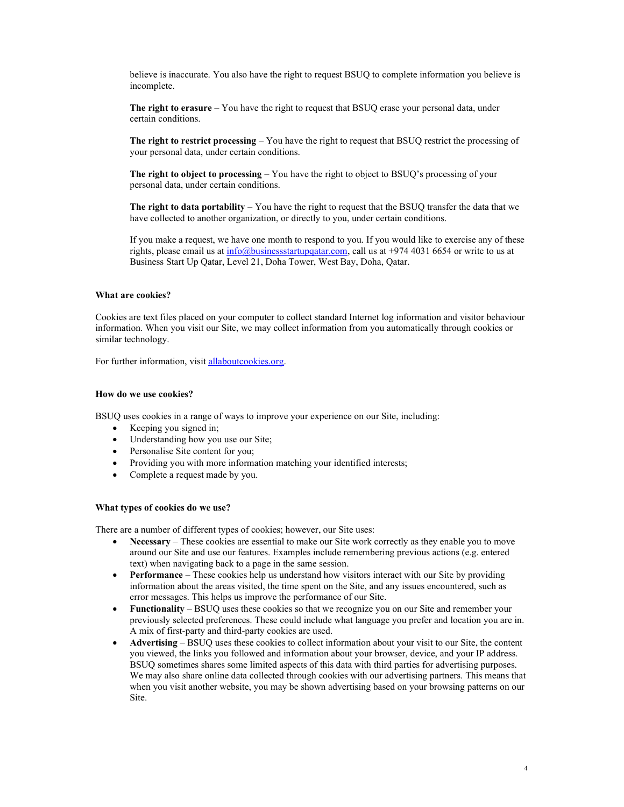believe is inaccurate. You also have the right to request BSUQ to complete information you believe is incomplete.

The right to erasure  $-$  You have the right to request that BSUQ erase your personal data, under certain conditions.

The right to restrict processing – You have the right to request that BSUQ restrict the processing of your personal data, under certain conditions.

The right to object to processing – You have the right to object to BSUQ's processing of your personal data, under certain conditions.

The right to data portability  $-$  You have the right to request that the BSUQ transfer the data that we have collected to another organization, or directly to you, under certain conditions.

If you make a request, we have one month to respond to you. If you would like to exercise any of these rights, please email us at  $info@$  business startup quaraturied us at +974 4031 6654 or write to us at Business Start Up Qatar, Level 21, Doha Tower, West Bay, Doha, Qatar.

# What are cookies?

Cookies are text files placed on your computer to collect standard Internet log information and visitor behaviour information. When you visit our Site, we may collect information from you automatically through cookies or similar technology.

For further information, visit allaboutcookies.org.

#### How do we use cookies?

BSUQ uses cookies in a range of ways to improve your experience on our Site, including:

- Keeping you signed in;
- Understanding how you use our Site;
- Personalise Site content for you;
- Providing you with more information matching your identified interests;
- Complete a request made by you.

#### What types of cookies do we use?

There are a number of different types of cookies; however, our Site uses:

- Necessary These cookies are essential to make our Site work correctly as they enable you to move around our Site and use our features. Examples include remembering previous actions (e.g. entered text) when navigating back to a page in the same session.
- Performance These cookies help us understand how visitors interact with our Site by providing information about the areas visited, the time spent on the Site, and any issues encountered, such as error messages. This helps us improve the performance of our Site.
- Functionality BSUQ uses these cookies so that we recognize you on our Site and remember your previously selected preferences. These could include what language you prefer and location you are in. A mix of first-party and third-party cookies are used.
- Advertising BSUQ uses these cookies to collect information about your visit to our Site, the content you viewed, the links you followed and information about your browser, device, and your IP address. BSUQ sometimes shares some limited aspects of this data with third parties for advertising purposes. We may also share online data collected through cookies with our advertising partners. This means that when you visit another website, you may be shown advertising based on your browsing patterns on our Site.